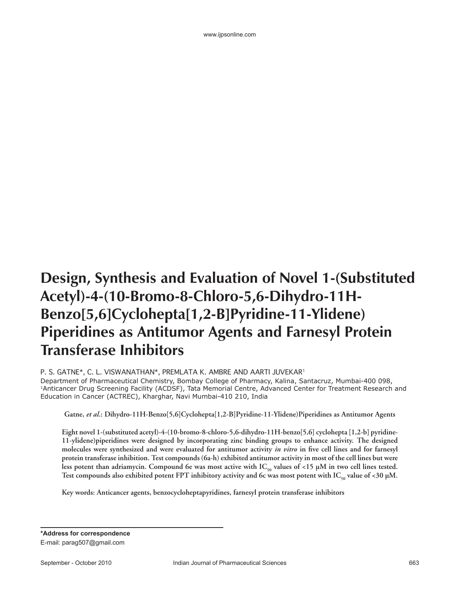www.ijpsonline.com

## **Design, Synthesis and Evaluation of Novel 1-(Substituted Acetyl)-4-(10-Bromo-8-Chloro-5,6-Dihydro-11H-Benzo[5,6]Cyclohepta[1,2-B]Pyridine-11-Ylidene) Piperidines as Antitumor Agents and Farnesyl Protein Transferase Inhibitors**

P. S. GATNE\*, C. L. VISWANATHAN\*, PREMLATA K. AMBRE AND AARTI JUVEKAR1 Department of Pharmaceutical Chemistry, Bombay College of Pharmacy, Kalina, Santacruz, Mumbai-400 098, 1Anticancer Drug Screening Facility (ACDSF), Tata Memorial Centre, Advanced Center for Treatment Research and Education in Cancer (ACTREC), Kharghar, Navi Mumbai-410 210, India

**Gatne,** *et al***.: Dihydro-11H-Benzo[5,6]Cyclohepta[1,2-B]Pyridine-11-Ylidene)Piperidines as Antitumor Agents**

**Eight novel 1-(substituted acetyl)-4-(10-bromo-8-chloro-5,6-dihydro-11H-benzo[5,6] cyclohepta [1,2-b] pyridine-11-ylidene)piperidines were designed by incorporating zinc binding groups to enhance activity. The designed**  molecules were synthesized and were evaluated for antitumor activity *in vitro* in five cell lines and for farnesyl **protein transferase inhibition. Test compounds (6a-h) exhibited antitumor activity in most of the cell lines but were**  less potent than adriamycin. Compound 6e was most active with IC<sub>50</sub> values of <15 µM in two cell lines tested. Test compounds also exhibited potent FPT inhibitory activity and 6c was most potent with  $IC_{\epsilon_0}$  value of <30 µM.

**Key words: Anticancer agents, benzocycloheptapyridines, farnesyl protein transferase inhibitors**

**\*Address for correspondence** E-mail: parag507@gmail.com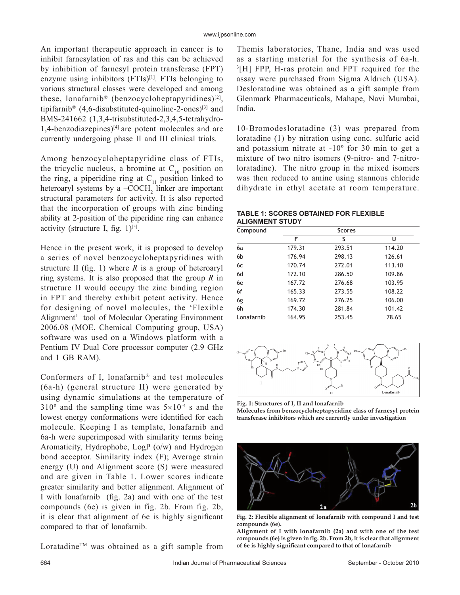An important therapeutic approach in cancer is to inhibit farnesylation of ras and this can be achieved by inhibition of farnesyl protein transferase (FPT) enzyme using inhibitors  $(FTIs)^{[1]}$ . FTIs belonging to various structural classes were developed and among these, lonafarnib<sup>®</sup> (benzocycloheptapyridines)<sup>[2]</sup>, tipifarnib<sup>®</sup> (4,6-disubstituted-quinoline-2-ones)<sup>[3]</sup> and BMS-241662 (1,3,4-trisubstituted-2,3,4,5-tetrahydro- $1,4$ -benzodiazepines)<sup>[4]</sup> are potent molecules and are currently undergoing phase II and III clinical trials.

Among benzocycloheptapyridine class of FTIs, the tricyclic nucleus, a bromine at  $C_{10}$  position on the ring, a piperidine ring at  $C_{11}$  position linked to heteroaryl systems by a  $-COCH<sub>2</sub>$  linker are important structural parameters for activity. It is also reported that the incorporation of groups with zinc binding ability at 2-position of the piperidine ring can enhance activity (structure I, fig.  $1$ )<sup>[5]</sup>.

Hence in the present work, it is proposed to develop a series of novel benzocycloheptapyridines with structure II (fig. 1) where  $R$  is a group of heteroaryl ring systems. It is also proposed that the group *R* in structure II would occupy the zinc binding region in FPT and thereby exhibit potent activity. Hence for designing of novel molecules, the 'Flexible Alignment' tool of Molecular Operating Environment 2006.08 (MOE, Chemical Computing group, USA) software was used on a Windows platform with a Pentium IV Dual Core processor computer (2.9 GHz and 1 GB RAM).

Conformers of I, lonafarnib® and test molecules (6a -h) (general structure II) were generated by using dynamic simulations at the temperature of  $310^{\circ}$  and the sampling time was  $5\times10^{-4}$  s and the lowest energy conformations were identified for each molecule. Keeping I as template, lonafarnib and 6a-h were superimposed with similarity terms being Aromaticity, Hydrophobe, LogP (o/w) and Hydrogen bond acceptor. Similarity index (F); Average strain energy (U) and Alignment score (S) were measured and are given in Table 1. Lower scores indicate greater similarity and better alignment. Alignment of I with lonafarnib  $(f_2, 2a)$  and with one of the test compounds (6e) is given in fig. 2b. From fig. 2b, it is clear that alignment of 6e is highly significant compared to that of lonafarnib.

Loratadine<sup>TM</sup> was obtained as a gift sample from

Themis laboratories, Thane, India and was used as a starting material for the synthesis of 6a-h. 3 [H] FPP, H-ras protein and FPT required for the assay were purchased from Sigma Aldrich (USA). Desloratadine was obtained as a gift sample from Glenmark Pharmaceuticals, Mahape, Navi Mumbai, India.

10-Bromodesloratadine (3) was prepared from loratadine (1) by nitration using conc. sulfuric acid and potassium nitrate at -10º for 30 min to get a mixture of two nitro isomers (9-nitro- and 7-nitroloratadine). The nitro group in the mixed isomers was then reduced to amine using stannous chloride dihydrate in ethyl acetate at room temperature.

## **TABLE 1: SCORES OBTAINED FOR FLEXIBLE ALIGNMENT STUDY**

| Compound       | <b>Scores</b> |        |        |  |  |
|----------------|---------------|--------|--------|--|--|
|                | F             | S      | U      |  |  |
| 6a             | 179.31        | 293.51 | 114.20 |  |  |
| 6 <sub>b</sub> | 176.94        | 298.13 | 126.61 |  |  |
| 6c             | 170.74        | 272.01 | 113.10 |  |  |
| 6d             | 172.10        | 286.50 | 109.86 |  |  |
| 6e             | 167.72        | 276.68 | 103.95 |  |  |
| 6f             | 165.33        | 273.55 | 108.22 |  |  |
| 6g             | 169.72        | 276.25 | 106.00 |  |  |
| 6h             | 174.30        | 281.84 | 101.42 |  |  |
| Lonafarnib     | 164.95        | 253.45 | 78.65  |  |  |



**Fig. 1: Structures of I, II and lonafarnib Molecules from benzocycloheptapyridine class of farnesyl protein transferase inhibitors which are currently under investigation**



**Fig. 2: Flexible alignment of lonafarnib with compound I and test compounds (6e).**

**Alignment of I with lonafarnib (2a) and with one of the test**  compounds (6e) is given in fig. 2b. From 2b, it is clear that alignment of 6e is highly significant compared to that of lonafarnib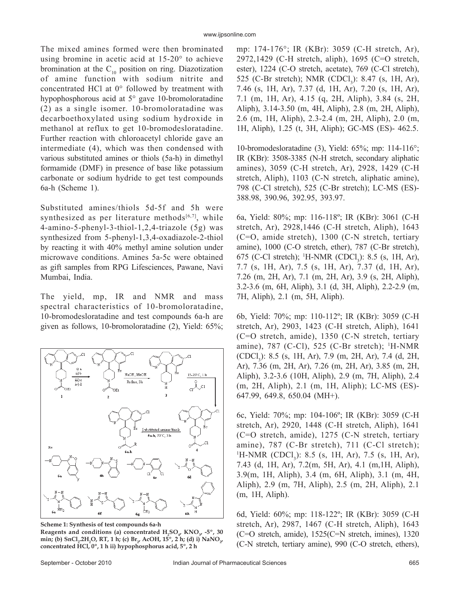The mixed amines formed were then brominated using bromine in acetic acid at 15-20° to achieve bromination at the  $C_{10}$  position on ring. Diazotization of amine function with sodium nitrite and concentrated HCl at 0° followed by treatment with hypophosphorous acid at 5° gave 10-bromoloratadine (2) as a single isomer. 10-bromoloratadine was decarboethoxylated using sodium hydroxide in methanol at reflux to get 10-bromodesloratadine. Further reaction with chloroacetyl chloride gave an intermediate (4), which was then condensed with various substituted amines or thiols (5a-h) in dimethyl formamide (DMF) in presence of base like potassium carbonate or sodium hydride to get test compounds 6a-h (Scheme 1).

Substituted amines/thiols 5d-5f and 5h were synthesized as per literature methods $[6,7]$ , while 4-amino-5-phenyl-3-thiol-1,2,4-triazole (5g) was synthesized from 5-phenyl-1,3,4-oxadiazole-2-thiol by reacting it with 40% methyl amine solution under microwave conditions. Amines 5a-5c were obtained as gift samples from RPG Lifesciences, Pawane, Navi Mumbai, India.

The yield, mp, IR and NMR and mass spectral characteristics of 10-bromoloratadine, 10-bromodesloratadine and test compounds 6a-h are given as follows, 10-bromoloratadine (2), Yield: 65%;



**Scheme 1: Synthesis of test compounds 6a-h**

Reagents and conditions (a) concentrated  $H_2SO_{4}$  KNO<sub>3</sub>, -5°, 30 min; (b) SnCl<sub>2</sub>.2H<sub>2</sub>O, RT, 1 h; (c) Br<sub>2</sub>, AcOH, 15<sup>°</sup>, 2 h; (d) i) NaNO<sub>2</sub>, **concentrated HCl, 0º, 1 h ii) hypophosphorus acid, 5º, 2 h**

mp: 174-176°; IR (KBr): 3059 (C-H stretch, Ar), 2972,1429 (C-H stretch, aliph), 1695 (C=O stretch, ester), 1224 (C-O stretch, acetate), 769 (C-Cl stretch), 525 (C-Br stretch); NMR (CDCl<sub>3</sub>): 8.47 (s, 1H, Ar), 7.46 (s, 1H, Ar), 7.37 (d, 1H, Ar), 7.20 (s, 1H, Ar), 7.1 (m, 1H, Ar), 4.15 (q, 2H, Aliph), 3.84 (s, 2H, Aliph), 3.14-3.50 (m, 4H, Aliph), 2.8 (m, 2H, Aliph), 2.6 (m, 1H, Aliph), 2.3-2.4 (m, 2H, Aliph), 2.0 (m, 1H, Aliph), 1.25 (t, 3H, Aliph); GC-MS (ES)- 462.5.

10-bromodesloratadine (3), Yield: 65%; mp: 114-116°; IR (KBr): 3508-3385 (N-H stretch, secondary aliphatic amines), 3059 (C-H stretch, Ar), 2928, 1429 (C-H stretch, Aliph), 1103 (C-N stretch, aliphatic amine), 798 (C-Cl stretch), 525 (C-Br stretch); LC-MS (ES)- 388.98, 390.96, 392.95, 393.97.

6a, Yield: 80%; mp: 116-118º; IR (KBr): 3061 (C-H stretch, Ar), 2928,1446 (C-H stretch, Aliph), 1643 (C=O, amide stretch), 1300 (C-N stretch, tertiary amine), 1000 (C-O stretch, ether), 787 (C-Br stretch), 675 (C-Cl stretch); <sup>1</sup>H-NMR (CDCl<sub>3</sub>): 8.5 (s, 1H, Ar), 7.7 (s, 1H, Ar), 7.5 (s, 1H, Ar), 7.37 (d, 1H, Ar), 7.26 (m, 2H, Ar), 7.1 (m, 2H, Ar), 3.9 (s, 2H, Aliph), 3.2-3.6 (m, 6H, Aliph), 3.1 (d, 3H, Aliph), 2.2-2.9 (m, 7H, Aliph), 2.1 (m, 5H, Aliph).

6b, Yield: 70%; mp: 110-112º; IR (KBr): 3059 (C-H stretch, Ar), 2903, 1423 (C-H stretch, Aliph), 1641 (C=O stretch, amide), 1350 (C-N stretch, tertiary amine), 787 (C-Cl), 525 (C-Br stretch); <sup>1</sup>H-NMR (CDCl3 ): 8.5 (s, 1H, Ar), 7.9 (m, 2H, Ar), 7.4 (d, 2H, Ar), 7.36 (m, 2H, Ar), 7.26 (m, 2H, Ar), 3.85 (m, 2H, Aliph), 3.2-3.6 (10H, Aliph), 2.9 (m, 7H, Aliph), 2.4 (m, 2H, Aliph), 2.1 (m, 1H, Aliph); LC-MS (ES)- 647.99, 649.8, 650.04 (MH+).

6c, Yield: 70%; mp: 104-106º; IR (KBr): 3059 (C-H stretch, Ar), 2920, 1448 (C-H stretch, Aliph), 1641 (C=O stretch, amide), 1275 (C-N stretch, tertiary amine), 787 (C-Br stretch), 711 (C-Cl stretch);  ${}^{1}$ H-NMR (CDCl<sub>3</sub>): 8.5 (s, 1H, Ar), 7.5 (s, 1H, Ar), 7.43 (d, 1H, Ar), 7.2(m, 5H, Ar), 4.1 (m,1H, Aliph), 3.9(m, 1H, Aliph), 3.4 (m, 6H, Aliph), 3.1 (m, 4H, Aliph), 2.9 (m, 7H, Aliph), 2.5 (m, 2H, Aliph), 2.1 (m, 1H, Aliph).

6d, Yield: 60%; mp: 118-122º; IR (KBr): 3059 (C-H stretch, Ar), 2987, 1467 (C-H stretch, Aliph), 1643 (C=O stretch, amide), 1525(C=N stretch, imines), 1320 (C-N stretch, tertiary amine), 990 (C-O stretch, ethers),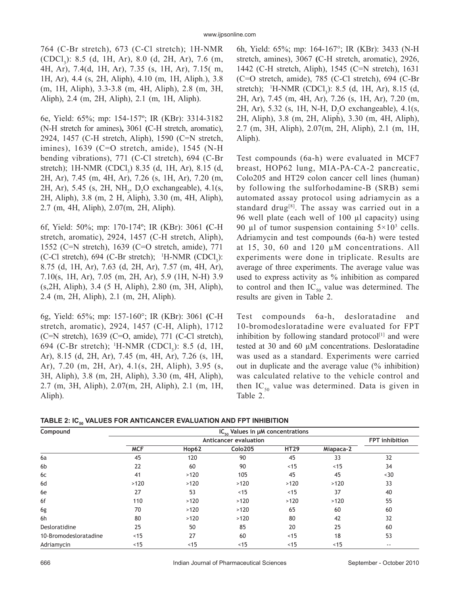764 (C-Br stretch), 673 (C-Cl stretch); 1H-NMR (CDCl<sub>3</sub>): 8.5 (d, 1H, Ar), 8.0 (d, 2H, Ar), 7.6 (m, 4H, Ar), 7.4(d, 1H, Ar), 7.35 (s, 1H, Ar), 7.15( m, 1H, Ar), 4.4 (s, 2H, Aliph), 4.10 (m, 1H, Aliph.), 3.8 (m, 1H, Aliph), 3.3-3.8 (m, 4H, Aliph), 2.8 (m, 3H, Aliph), 2.4 (m, 2H, Aliph), 2.1 (m, 1H, Aliph).

6e, Yield: 65%; mp: 154-157º; IR (KBr): 3314-3182 (N-H stretch for amines)**,** 3061 **(**C-H stretch, aromatic), 2924, 1457 (C-H stretch, Aliph), 1590 (C=N stretch, imines), 1639 (C=O stretch, amide), 1545 (N-H bending vibrations), 771 (C-Cl stretch), 694 (C-Br stretch); 1H-NMR (CDCl<sub>3</sub>) 8.35 (d, 1H, Ar), 8.15 (d, 2H, Ar), 7.45 (m, 4H, Ar), 7.26 (s, 1H, Ar), 7.20 (m, 2H, Ar), 5.45 (s, 2H,  $NH_2$ ,  $D_2O$  exchangeable), 4.1(s, 2H, Aliph), 3.8 (m, 2 H, Aliph), 3.30 (m, 4H, Aliph), 2.7 (m, 4H, Aliph), 2.07(m, 2H, Aliph).

6f, Yield: 50%; mp: 170-174º; IR (KBr): 3061 **(**C-H stretch, aromatic), 2924, 1457 (C-H stretch, Aliph), 1552 (C=N stretch), 1639 (C=O stretch, amide), 771 (C-Cl stretch),  $694$  (C-Br stretch); <sup>1</sup>H-NMR (CDCl<sub>3</sub>): 8.75 (d, 1H, Ar), 7.63 (d, 2H, Ar), 7.57 (m, 4H, Ar), 7.10(s, 1H, Ar), 7.05 (m, 2H, Ar), 5.9 (1H, N-H) 3.9 (s,2H, Aliph), 3.4 (5 H, Aliph), 2.80 (m, 3H, Aliph), 2.4 (m, 2H, Aliph), 2.1 (m, 2H, Aliph).

6g, Yield: 65%; mp: 157-160°; IR (KBr): 3061 **(**C-H stretch, aromatic), 2924, 1457 (C-H, Aliph), 1712 (C=N stretch), 1639 (C=O, amide), 771 (C-Cl stretch), 694 (C-Br stretch); <sup>1</sup>H-NMR (CDCl<sub>3</sub>): 8.5 (d, 1H, Ar), 8.15 (d, 2H, Ar), 7.45 (m, 4H, Ar), 7.26 (s, 1H, Ar), 7.20 (m, 2H, Ar), 4.1(s, 2H, Aliph), 3.95 (s, 3H, Aliph), 3.8 (m, 2H, Aliph), 3.30 (m, 4H, Aliph), 2.7 (m, 3H, Aliph), 2.07(m, 2H, Aliph), 2.1 (m, 1H, Aliph).

6h, Yield: 65%; mp: 164-167°; IR (KBr): 3433 (N-H stretch, amines), 3067 **(**C-H stretch, aromatic), 2926, 1442 (C-H stretch, Aliph), 1545 (C=N stretch), 1631 (C=O stretch, amide), 785 (C-Cl stretch), 694 (C-Br stretch); <sup>1</sup>H-NMR (CDCl<sub>3</sub>): 8.5 (d, 1H, Ar), 8.15 (d, 2H, Ar), 7.45 (m, 4H, Ar), 7.26 (s, 1H, Ar), 7.20 (m, 2H, Ar), 5.32 (s, 1H, N-H,  $D_2O$  exchangeable), 4.1(s, 2H, Aliph), 3.8 (m, 2H, Aliph), 3.30 (m, 4H, Aliph), 2.7 (m, 3H, Aliph), 2.07(m, 2H, Aliph), 2.1 (m, 1H, Aliph).

Test compounds (6a-h) were evaluated in MCF7 breast, HOP62 lung, MIA-PA-CA-2 pancreatic, Colo205 and HT29 colon cancer cell lines (human) by following the sulforhodamine-B (SRB) semi automated assay protocol using adriamycin as a standard drug<sup>[8]</sup>. The assay was carried out in a 96 well plate (each well of 100 μl capacity) using 90 µl of tumor suspension containing  $5 \times 10^3$  cells. Adriamycin and test compounds (6a-h) were tested at 15, 30, 60 and 120 μM concentrations. All experiments were done in triplicate. Results are average of three experiments. The average value was used to express activity as % inhibition as compared to control and then  $IC_{50}$  value was determined. The results are given in Table 2.

Test compounds 6a-h, desloratadine and 10-bromodesloratadine were evaluated for FPT inhibition by following standard protocol $[1]$  and were tested at 30 and 60 μM concentrations. Desloratadine was used as a standard. Experiments were carried out in duplicate and the average value (% inhibition) was calculated relative to the vehicle control and then  $IC_{50}$  value was determined. Data is given in Table 2.

TABLE 2: IC<sub>50</sub> VALUES FOR ANTICANCER EVALUATION AND FPT INHIBITION

| Compound              |            |                |         |             |           |       |
|-----------------------|------------|----------------|---------|-------------|-----------|-------|
|                       |            | FPT inhibition |         |             |           |       |
|                       | <b>MCF</b> | Hop62          | Colo205 | <b>HT29</b> | Miapaca-2 |       |
| 6a                    | 45         | 120            | 90      | 45          | 33        | 32    |
| 6 <sub>b</sub>        | 22         | 60             | 90      | <15         | ~15       | 34    |
| 6c                    | 41         | >120           | 105     | 45          | 45        | <30   |
| 6d                    | >120       | >120           | >120    | >120        | >120      | 33    |
| 6e                    | 27         | 53             | ~15     | <15         | 37        | 40    |
| 6f                    | 110        | >120           | >120    | >120        | >120      | 55    |
| 6g                    | 70         | >120           | >120    | 65          | 60        | 60    |
| 6h                    | 80         | >120           | >120    | 80          | 42        | 32    |
| Desloratidine         | 25         | 50             | 85      | 20          | 25        | 60    |
| 10-Bromodesloratadine | <15        | 27             | 60      | < 15        | 18        | 53    |
| Adriamycin            | <15        | < 15           | < 15    | < 15        | < 15      | $- -$ |